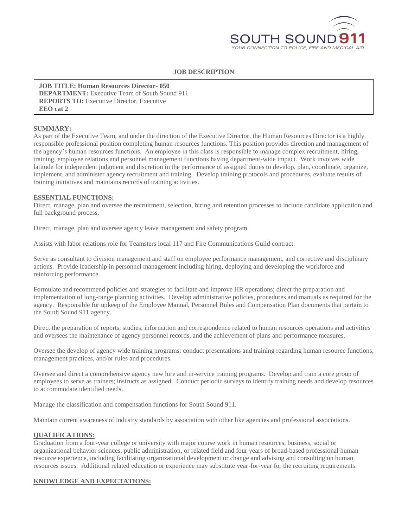

# **JOB DESCRIPTION**

**DEPARTMENT:** Executive Team of South Sound 911 **JOB TITLE: Human Resources Director- 050 REPORTS TO:** Executive Director, Executive **EEO cat 2**

### **SUMMARY:**

As part of the Executive Team, and under the direction of the Executive Director, the Human Resources Director is a highly responsible professional position completing human resources functions. This position provides direction and management of the agency's human resources functions. An employee in this class is responsible to manage complex recruitment, hiring, training, employee relations and personnel management functions having department-wide impact. Work involves wide latitude for independent judgment and discretion in the performance of assigned duties to develop, plan, coordinate, organize, implement, and administer agency recruitment and training. Develop training protocols and procedures, evaluate results of training initiatives and maintains records of training activities.

### **ESSENTIAL FUNCTIONS:**

Direct, manage, plan and oversee the recruitment, selection, hiring and retention processes to include candidate application and full background process.

Direct, manage, plan and oversee agency leave management and safety program.

Assists with labor relations role for Teamsters local 117 and Fire Communications Guild contract.

Serve as consultant to division management and staff on employee performance management, and corrective and disciplinary actions. Provide leadership in personnel management including hiring, deploying and developing the workforce and reinforcing performance.

Formulate and recommend policies and strategies to facilitate and improve HR operations; direct the preparation and implementation of long-range planning activities. Develop administrative policies, procedures and manuals as required for the agency. Responsible for upkeep of the Employee Manual, Personnel Rules and Compensation Plan documents that pertain to the South Sound 911 agency.

Direct the preparation of reports, studies, information and correspondence related to human resources operations and activities and oversees the maintenance of agency personnel records, and the achievement of plans and performance measures.

Oversee the develop of agency wide training programs; conduct presentations and training regarding human resource functions, management practices, and/or rules and procedures.

Oversee and direct a comprehensive agency new hire and in-service training programs. Develop and train a core group of employees to serve as trainers; instructs as assigned. Conduct periodic surveys to identify training needs and develop resources to accommodate identified needs.

Manage the classification and compensation functions for South Sound 911.

Maintain current awareness of industry standards by association with other like agencies and professional associations.

## **QUALIFICATIONS:**

Graduation from a four-year college or university with major course work in human resources, business, social or organizational behavior sciences, public administration, or related field and four years of broad-based professional human resource experience, including facilitating organizational development or change and advising and consulting on human resources issues. Additional related education or experience may substitute year-for-year for the recruiting requirements.

## **KNOWLEDGE AND EXPECTATIONS:**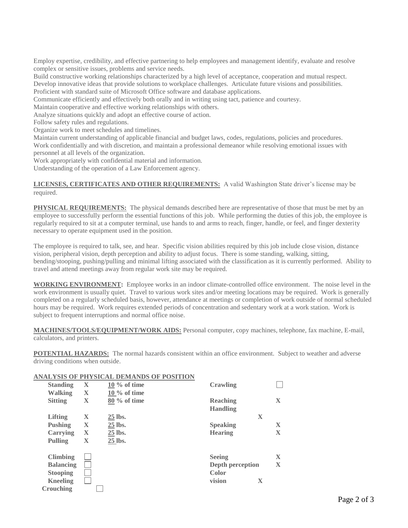Employ expertise, credibility, and effective partnering to help employees and management identify, evaluate and resolve complex or sensitive issues, problems and service needs.

Build constructive working relationships characterized by a high level of acceptance, cooperation and mutual respect. Develop innovative ideas that provide solutions to workplace challenges. Articulate future visions and possibilities.

Proficient with standard suite of Microsoft Office software and database applications.

Communicate efficiently and effectively both orally and in writing using tact, patience and courtesy.

Maintain cooperative and effective working relationships with others.

Analyze situations quickly and adopt an effective course of action.

Follow safety rules and regulations.

Organize work to meet schedules and timelines.

Maintain current understanding of applicable financial and budget laws, codes, regulations, policies and procedures. Work confidentially and with discretion, and maintain a professional demeanor while resolving emotional issues with personnel at all levels of the organization.

Work appropriately with confidential material and information.

Understanding of the operation of a Law Enforcement agency.

#### **LICENSES, CERTIFICATES AND OTHER REQUIREMENTS:** A valid Washington State driver's license may be required.

**PHYSICAL REQUIREMENTS:** The physical demands described here are representative of those that must be met by an employee to successfully perform the essential functions of this job. While performing the duties of this job, the employee is regularly required to sit at a computer terminal, use hands to and arms to reach, finger, handle, or feel, and finger dexterity necessary to operate equipment used in the position.

The employee is required to talk, see, and hear. Specific vision abilities required by this job include close vision, distance vision, peripheral vision, depth perception and ability to adjust focus. There is some standing, walking, sitting, bending/stooping, pushing/pulling and minimal lifting associated with the classification as it is currently performed. Ability to travel and attend meetings away from regular work site may be required.

**WORKING ENVIRONMENT:** Employee works in an indoor climate-controlled office environment. The noise level in the work environment is usually quiet. Travel to various work sites and/or meeting locations may be required. Work is generally completed on a regularly scheduled basis, however, attendance at meetings or completion of work outside of normal scheduled hours may be required. Work requires extended periods of concentration and sedentary work at a work station. Work is subject to frequent interruptions and normal office noise.

**MACHINES/TOOLS/EQUIPMENT/WORK AIDS:** Personal computer, copy machines, telephone, fax machine, E-mail, calculators, and printers.

**POTENTIAL HAZARDS:** The normal hazards consistent within an office environment. Subject to weather and adverse driving conditions when outside.

|                  |              | ANALYSIS OF PHYSICAL DEMANDS OF POSITION |                  |                         |
|------------------|--------------|------------------------------------------|------------------|-------------------------|
| <b>Standing</b>  | X            | $10\%$ of time                           | Crawling         |                         |
| <b>Walking</b>   | $\bf{X}$     | $10\%$ of time                           |                  |                         |
| <b>Sitting</b>   | X            | $80\%$ of time                           | Reaching         | $\mathbf{X}$            |
|                  |              |                                          | <b>Handling</b>  |                         |
| Lifting          | $\bf{X}$     | 25 lbs.                                  | X                |                         |
| <b>Pushing</b>   | $\bf{X}$     | 25 lbs.                                  | <b>Speaking</b>  | $\mathbf X$             |
| Carrying         | $\mathbf{X}$ | 25 lbs.                                  | <b>Hearing</b>   | $\mathbf X$             |
| Pulling          | $\mathbf{X}$ | 25 lbs.                                  |                  |                         |
| <b>Climbing</b>  |              |                                          | <b>Seeing</b>    | $\mathbf{X}$            |
| <b>Balancing</b> |              |                                          | Depth perception | $\overline{\mathbf{X}}$ |
| <b>Stooping</b>  |              |                                          | Color            |                         |
| <b>Kneeling</b>  |              |                                          | vision<br>X      |                         |
| Crouching        |              |                                          |                  |                         |